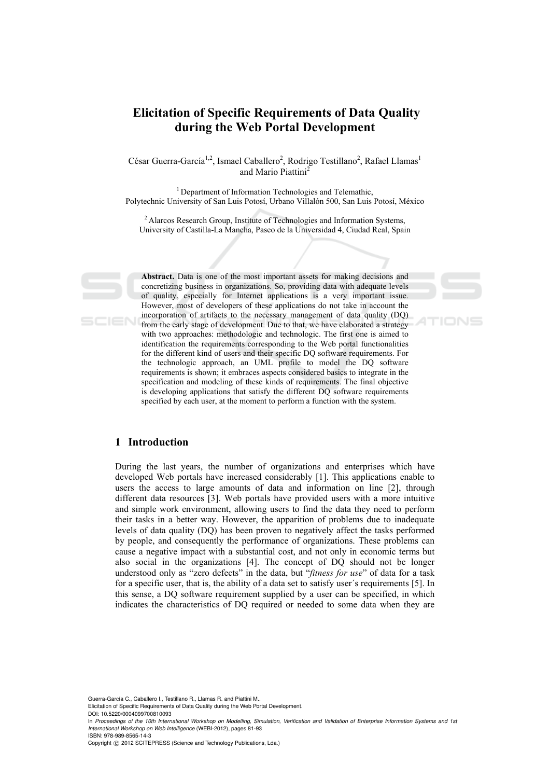# **Elicitation of Specific Requirements of Data Quality during the Web Portal Development**

César Guerra-García<sup>1,2</sup>, Ismael Caballero<sup>2</sup>, Rodrigo Testillano<sup>2</sup>, Rafael Llamas<sup>1</sup> and Mario Piattini<sup>2</sup>

<sup>1</sup> Department of Information Technologies and Telemathic, Polytechnic University of San Luis Potosí, Urbano Villalón 500, San Luis Potosí, México

2 Alarcos Research Group, Institute of Technologies and Information Systems, University of Castilla-La Mancha, Paseo de la Universidad 4, Ciudad Real, Spain

**Abstract.** Data is one of the most important assets for making decisions and concretizing business in organizations. So, providing data with adequate levels of quality, especially for Internet applications is a very important issue. However, most of developers of these applications do not take in account the incorporation of artifacts to the necessary management of data quality (DQ) from the early stage of development. Due to that, we have elaborated a strategy with two approaches: methodologic and technologic. The first one is aimed to identification the requirements corresponding to the Web portal functionalities for the different kind of users and their specific DQ software requirements. For the technologic approach, an UML profile to model the DQ software requirements is shown; it embraces aspects considered basics to integrate in the specification and modeling of these kinds of requirements. The final objective is developing applications that satisfy the different DQ software requirements specified by each user, at the moment to perform a function with the system.

## **1 Introduction**

During the last years, the number of organizations and enterprises which have developed Web portals have increased considerably [1]. This applications enable to users the access to large amounts of data and information on line [2], through different data resources [3]. Web portals have provided users with a more intuitive and simple work environment, allowing users to find the data they need to perform their tasks in a better way. However, the apparition of problems due to inadequate levels of data quality (DQ) has been proven to negatively affect the tasks performed by people, and consequently the performance of organizations. These problems can cause a negative impact with a substantial cost, and not only in economic terms but also social in the organizations [4]. The concept of DQ should not be longer understood only as "zero defects" in the data, but "*fitness for use*" of data for a task for a specific user, that is, the ability of a data set to satisfy user´s requirements [5]. In this sense, a DQ software requirement supplied by a user can be specified, in which indicates the characteristics of DQ required or needed to some data when they are

Guerra-García C., Caballero I., Testillano R., Llamas R. and Piattini M..

Elicitation of Specific Requirements of Data Quality during the Web Portal Development.

DOI: 10.5220/0004099700810093

In *Proceedings of the 10th International Workshop on Modelling, Simulation, Verification and Validation of Enterprise Information Systems and 1st International Workshop on Web Intelligence* (WEBI-2012), pages 81-93 ISBN: 978-989-8565-14-3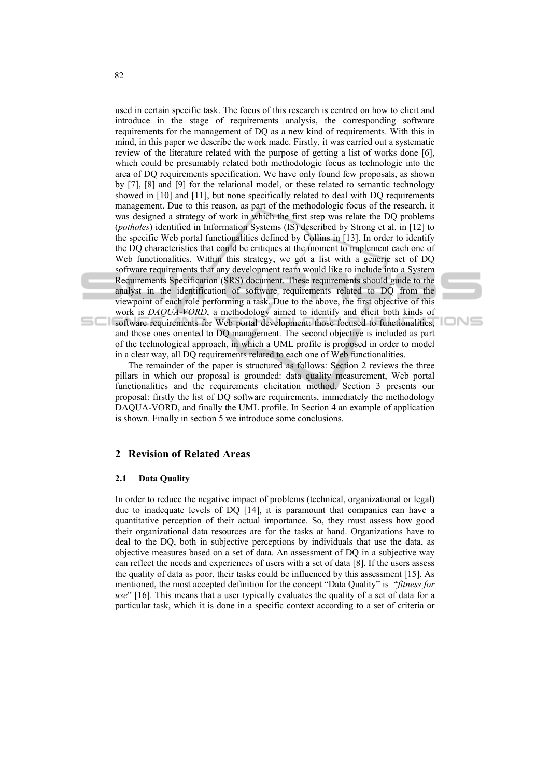used in certain specific task. The focus of this research is centred on how to elicit and introduce in the stage of requirements analysis, the corresponding software requirements for the management of DQ as a new kind of requirements. With this in mind, in this paper we describe the work made. Firstly, it was carried out a systematic review of the literature related with the purpose of getting a list of works done [6], which could be presumably related both methodologic focus as technologic into the area of DQ requirements specification. We have only found few proposals, as shown by [7], [8] and [9] for the relational model, or these related to semantic technology showed in [10] and [11], but none specifically related to deal with DQ requirements management. Due to this reason, as part of the methodologic focus of the research, it was designed a strategy of work in which the first step was relate the DQ problems (*potholes*) identified in Information Systems (IS) described by Strong et al. in [12] to the specific Web portal functionalities defined by Collins in [13]. In order to identify the DQ characteristics that could be critiques at the moment to implement each one of Web functionalities. Within this strategy, we got a list with a generic set of DQ software requirements that any development team would like to include into a System Requirements Specification (SRS) document. These requirements should guide to the analyst in the identification of software requirements related to DQ from the viewpoint of each role performing a task. Due to the above, the first objective of this work is *DAQUA-VORD*, a methodology aimed to identify and elicit both kinds of software requirements for Web portal development: those focused to functionalities, and those ones oriented to DQ management. The second objective is included as part



The remainder of the paper is structured as follows: Section 2 reviews the three pillars in which our proposal is grounded: data quality measurement, Web portal functionalities and the requirements elicitation method. Section 3 presents our proposal: firstly the list of DQ software requirements, immediately the methodology DAQUA-VORD, and finally the UML profile. In Section 4 an example of application is shown. Finally in section 5 we introduce some conclusions.

of the technological approach, in which a UML profile is proposed in order to model in a clear way, all DQ requirements related to each one of Web functionalities.

#### **2 Revision of Related Areas**

#### **2.1 Data Quality**

In order to reduce the negative impact of problems (technical, organizational or legal) due to inadequate levels of DQ [14], it is paramount that companies can have a quantitative perception of their actual importance. So, they must assess how good their organizational data resources are for the tasks at hand. Organizations have to deal to the DQ, both in subjective perceptions by individuals that use the data, as objective measures based on a set of data. An assessment of DQ in a subjective way can reflect the needs and experiences of users with a set of data [8]. If the users assess the quality of data as poor, their tasks could be influenced by this assessment [15]. As mentioned, the most accepted definition for the concept "Data Quality" is "*fitness for use*" [16]. This means that a user typically evaluates the quality of a set of data for a particular task, which it is done in a specific context according to a set of criteria or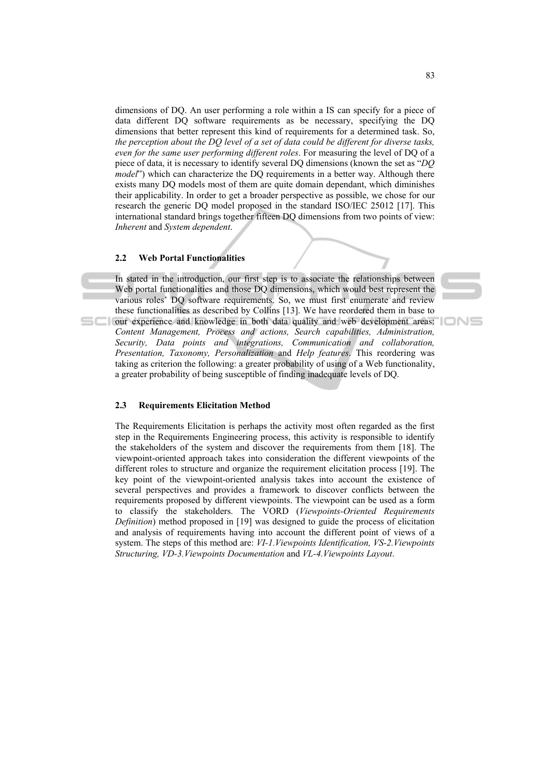dimensions of DQ. An user performing a role within a IS can specify for a piece of data different DQ software requirements as be necessary, specifying the DQ dimensions that better represent this kind of requirements for a determined task. So, *the perception about the DQ level of a set of data could be different for diverse tasks, even for the same user performing different roles*. For measuring the level of DQ of a piece of data, it is necessary to identify several DQ dimensions (known the set as "*DQ model*") which can characterize the DQ requirements in a better way. Although there exists many DQ models most of them are quite domain dependant, which diminishes their applicability. In order to get a broader perspective as possible, we chose for our research the generic DQ model proposed in the standard ISO/IEC 25012 [17]. This international standard brings together fifteen DQ dimensions from two points of view: *Inherent* and *System dependent*.

#### **2.2 Web Portal Functionalities**

In stated in the introduction, our first step is to associate the relationships between Web portal functionalities and those DQ dimensions, which would best represent the various roles' DQ software requirements. So, we must first enumerate and review these functionalities as described by Collins [13]. We have reordered them in base to our experience and knowledge in both data quality and web development areas: *Content Management, Process and actions, Search capabilities, Administration, Security, Data points and integrations, Communication and collaboration, Presentation, Taxonomy, Personalization* and *Help features*. This reordering was taking as criterion the following: a greater probability of using of a Web functionality, a greater probability of being susceptible of finding inadequate levels of DQ.

#### **2.3 Requirements Elicitation Method**

The Requirements Elicitation is perhaps the activity most often regarded as the first step in the Requirements Engineering process, this activity is responsible to identify the stakeholders of the system and discover the requirements from them [18]. The viewpoint-oriented approach takes into consideration the different viewpoints of the different roles to structure and organize the requirement elicitation process [19]. The key point of the viewpoint-oriented analysis takes into account the existence of several perspectives and provides a framework to discover conflicts between the requirements proposed by different viewpoints. The viewpoint can be used as a form to classify the stakeholders. The VORD (*Viewpoints-Oriented Requirements Definition*) method proposed in [19] was designed to guide the process of elicitation and analysis of requirements having into account the different point of views of a system. The steps of this method are: *VI-1.Viewpoints Identification, VS-2.Viewpoints Structuring, VD-3.Viewpoints Documentation* and *VL-4.Viewpoints Layout*.

IONE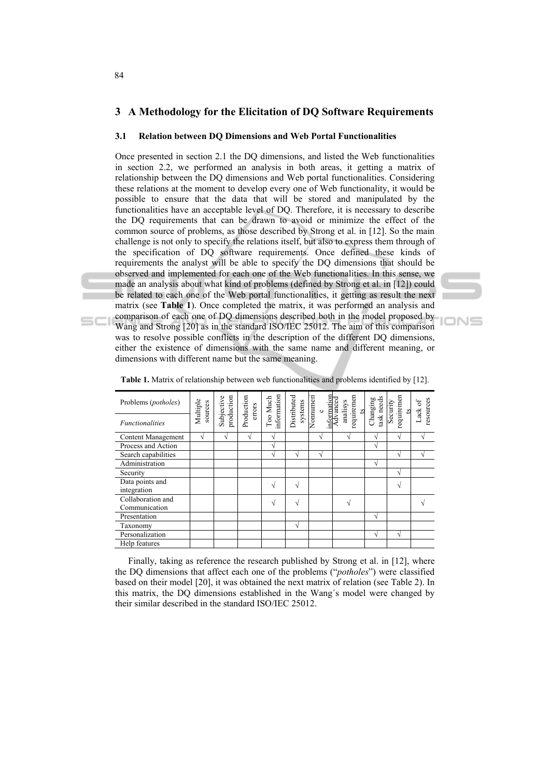## **3 A Methodology for the Elicitation of DQ Software Requirements**

#### **3.1 Relation between DQ Dimensions and Web Portal Functionalities**

Once presented in section 2.1 the DQ dimensions, and listed the Web functionalities in section 2.2, we performed an analysis in both areas, it getting a matrix of relationship between the DQ dimensions and Web portal functionalities. Considering these relations at the moment to develop every one of Web functionality, it would be possible to ensure that the data that will be stored and manipulated by the functionalities have an acceptable level of DQ. Therefore, it is necessary to describe the DQ requirements that can be drawn to avoid or minimize the effect of the common source of problems, as those described by Strong et al. in [12]. So the main challenge is not only to specify the relations itself, but also to express them through of the specification of DQ software requirements. Once defined these kinds of requirements the analyst will be able to specify the DQ dimensions that should be observed and implemented for each one of the Web functionalities. In this sense, we made an analysis about what kind of problems (defined by Strong et al. in [12]) could be related to each one of the Web portal functionalities, it getting as result the next matrix (see **Table 1**). Once completed the matrix, it was performed an analysis and comparison of each one of DQ dimensions described both in the model proposed by Wang and Strong [20] as in the standard ISO/IEC 25012. The aim of this comparison was to resolve possible conflicts in the description of the different DQ dimensions, either the existence of dimensions with the same name and different meaning, or dimensions with different name but the same meaning.

| Problems ( <i>potholes</i> )       | Multiple<br>sources | production<br>Subjective | Production<br>errors | information<br>Too Much | Distributed<br>systems | Nonnumeri<br>$\circ$ | information<br>Advanced<br>requiremen<br>analisys<br>$^{15}$ | task needs<br>Changing | requiremen<br>Security<br>$^{15}$ | resources<br>Lack of |
|------------------------------------|---------------------|--------------------------|----------------------|-------------------------|------------------------|----------------------|--------------------------------------------------------------|------------------------|-----------------------------------|----------------------|
| <b>Functionalities</b>             |                     |                          |                      |                         |                        |                      |                                                              |                        |                                   |                      |
| Content Management                 | V                   | V                        | V                    |                         |                        | V                    | N                                                            |                        | V                                 |                      |
| Process and Action                 |                     |                          |                      |                         |                        |                      |                                                              | $\sim$                 |                                   |                      |
| Search capabilities                |                     |                          |                      |                         | N                      |                      |                                                              |                        | N                                 |                      |
| Administration                     |                     |                          |                      |                         |                        |                      |                                                              | $\mathcal{L}$          |                                   |                      |
| Security                           |                     |                          |                      |                         |                        |                      |                                                              |                        | N                                 |                      |
| Data points and<br>integration     |                     |                          |                      |                         | N                      |                      |                                                              |                        | V                                 |                      |
| Collaboration and<br>Communication |                     |                          |                      |                         | N                      |                      | N                                                            |                        |                                   |                      |
| Presentation                       |                     |                          |                      |                         |                        |                      |                                                              | $\mathcal{N}$          |                                   |                      |
| Taxonomy                           |                     |                          |                      |                         | N                      |                      |                                                              |                        |                                   |                      |
| Personalization                    |                     |                          |                      |                         |                        |                      |                                                              |                        | N                                 |                      |
| Help features                      |                     |                          |                      |                         |                        |                      |                                                              |                        |                                   |                      |

**Table 1.** Matrix of relationship between web functionalities and problems identified by [12].

IONS

Finally, taking as reference the research published by Strong et al. in [12], where the DQ dimensions that affect each one of the problems ("*potholes*") were classified based on their model [20], it was obtained the next matrix of relation (see Table 2). In this matrix, the DQ dimensions established in the Wang´s model were changed by their similar described in the standard ISO/IEC 25012.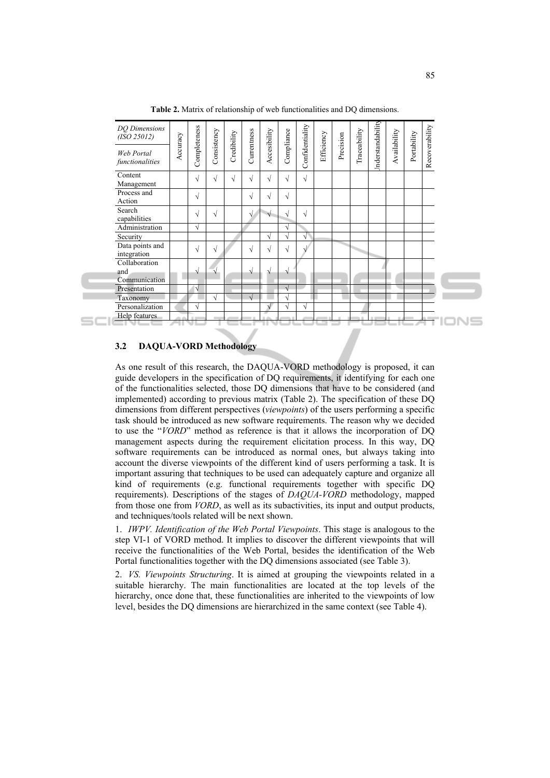| DQ Dimensions<br>(ISO 25012)          | Accuracy | Completeness | Consistency | Credibility | Currentness | Accesibility | Compliance | Confidentiality | Efficiency | Precision | Traceability | nderstandability | Availability | Portability |                |  |
|---------------------------------------|----------|--------------|-------------|-------------|-------------|--------------|------------|-----------------|------------|-----------|--------------|------------------|--------------|-------------|----------------|--|
| Web Portal<br>functionalities         |          |              |             |             |             |              |            |                 |            |           |              |                  |              |             | Recoverability |  |
| Content<br>Management                 |          | V            | $\sqrt{ }$  | V           | $\sqrt{ }$  | $\sqrt{ }$   | √          | $\sqrt{ }$      |            |           |              |                  |              |             |                |  |
| Process and<br>Action                 |          | $\sqrt{}$    |             |             | V           | $\sqrt{}$    | $\sqrt{}$  |                 |            |           |              |                  |              |             |                |  |
| Search<br>capabilities                |          | V            | $\sqrt{ }$  |             | N           |              | V          | V               |            |           |              |                  |              |             |                |  |
| Administration                        |          | $\sqrt{}$    |             |             |             |              | V          |                 |            |           |              |                  |              |             |                |  |
| Security                              |          |              |             |             |             | $\sqrt{ }$   | V          | V               |            |           |              |                  |              |             |                |  |
| Data points and<br>integration        |          | $\sqrt{}$    | $\sqrt{}$   |             | V           | √            | V          |                 |            |           |              |                  |              |             |                |  |
| Collaboration<br>and<br>Communication |          |              |             |             |             |              | N          |                 |            |           |              |                  |              |             |                |  |
| Presentation                          |          | V            |             |             |             |              |            |                 |            |           |              |                  |              |             |                |  |
| Taxonomy                              |          |              | V           |             | $\sqrt{ }$  |              | V          |                 |            |           |              |                  |              |             |                |  |
| Personalization                       |          | N            |             |             |             |              | V          | V               |            |           |              |                  |              |             |                |  |
| Help features                         |          |              |             |             |             |              |            |                 |            |           |              |                  |              |             |                |  |

**Table 2.** Matrix of relationship of web functionalities and DQ dimensions.

#### **3.2 DAQUA-VORD Methodology**

As one result of this research, the DAQUA-VORD methodology is proposed, it can guide developers in the specification of DQ requirements, it identifying for each one of the functionalities selected, those DQ dimensions that have to be considered (and implemented) according to previous matrix (Table 2). The specification of these DQ dimensions from different perspectives (*viewpoints*) of the users performing a specific task should be introduced as new software requirements. The reason why we decided to use the "*VORD*" method as reference is that it allows the incorporation of DQ management aspects during the requirement elicitation process. In this way, DQ software requirements can be introduced as normal ones, but always taking into account the diverse viewpoints of the different kind of users performing a task. It is important assuring that techniques to be used can adequately capture and organize all kind of requirements (e.g. functional requirements together with specific DQ requirements). Descriptions of the stages of *DAQUA-VORD* methodology, mapped from those one from *VORD*, as well as its subactivities, its input and output products, and techniques/tools related will be next shown.

1. *IWPV. Identification of the Web Portal Viewpoints*. This stage is analogous to the step VI-1 of VORD method. It implies to discover the different viewpoints that will receive the functionalities of the Web Portal, besides the identification of the Web Portal functionalities together with the DQ dimensions associated (see Table 3).

2. *VS. Viewpoints Structuring*. It is aimed at grouping the viewpoints related in a suitable hierarchy. The main functionalities are located at the top levels of the hierarchy, once done that, these functionalities are inherited to the viewpoints of low level, besides the DQ dimensions are hierarchized in the same context (see Table 4).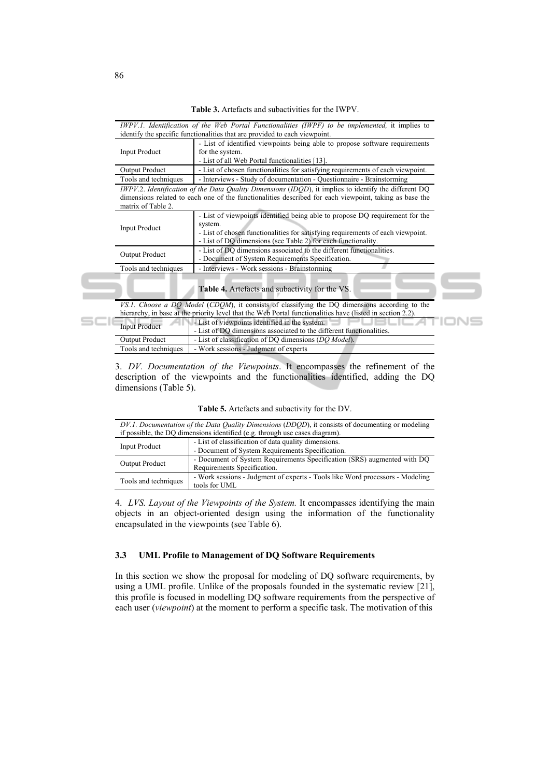**Table 3.** Artefacts and subactivities for the IWPV.

|                       | - List of identified viewpoints being able to propose software requirements                                                                                                                                                                 |
|-----------------------|---------------------------------------------------------------------------------------------------------------------------------------------------------------------------------------------------------------------------------------------|
| <b>Input Product</b>  | for the system.<br>- List of all Web Portal functionalities [13].                                                                                                                                                                           |
| <b>Output Product</b> | - List of chosen functionalities for satisfying requirements of each viewpoint.                                                                                                                                                             |
| Tools and techniques  | - Interviews - Study of documentation - Questionnaire - Brainstorming                                                                                                                                                                       |
| matrix of Table 2.    | IWPV.2. Identification of the Data Quality Dimensions (IDOD), it implies to identify the different DQ<br>dimensions related to each one of the functionalities described for each viewpoint, taking as base the                             |
| <b>Input Product</b>  | - List of viewpoints identified being able to propose DQ requirement for the<br>system.<br>- List of chosen functionalities for satisfying requirements of each viewpoint.<br>- List of DQ dimensions (see Table 2) for each functionality. |
| <b>Output Product</b> | - List of DO dimensions associated to the different functionalities.<br>- Document of System Requirements Specification.                                                                                                                    |
| Tools and techniques  | - Interviews - Work sessions - Brainstorming                                                                                                                                                                                                |
|                       | <b>Table 4.</b> Artefacts and subactivity for the VS.                                                                                                                                                                                       |
|                       | VS.1. Choose a DO Model (CDOM), it consists of classifying the DQ dimensions according to the                                                                                                                                               |
|                       | hierarchy, in base at the priority level that the Web Portal functionalities have (listed in section 2.2).                                                                                                                                  |
|                       | - List of viewpoints identified in the system.                                                                                                                                                                                              |

3. *DV. Documentation of the Viewpoints*. It encompasses the refinement of the description of the viewpoints and the functionalities identified, adding the DQ dimensions (Table 5).

Output Product - List of classification of DQ dimensions (*DQ Model*).

Tools and techniques | - Work sessions - Judgment of experts

|  |  |  | Table 5. Artefacts and subactivity for the DV. |  |  |  |
|--|--|--|------------------------------------------------|--|--|--|
|--|--|--|------------------------------------------------|--|--|--|

|                       | DV.1. Documentation of the Data Quality Dimensions (DDQD), it consists of documenting or modeling |
|-----------------------|---------------------------------------------------------------------------------------------------|
|                       | if possible, the DQ dimensions identified (e.g. through use cases diagram).                       |
| <b>Input Product</b>  | - List of classification of data quality dimensions.                                              |
|                       | - Document of System Requirements Specification.                                                  |
| <b>Output Product</b> | - Document of System Requirements Specification (SRS) augmented with DO                           |
|                       | Requirements Specification.                                                                       |
| Tools and techniques  | - Work sessions - Judgment of experts - Tools like Word processors - Modeling                     |
|                       | tools for UML                                                                                     |

4. *LVS. Layout of the Viewpoints of the System.* It encompasses identifying the main objects in an object-oriented design using the information of the functionality encapsulated in the viewpoints (see Table 6).

#### **3.3 UML Profile to Management of DQ Software Requirements**

In this section we show the proposal for modeling of DQ software requirements, by using a UML profile. Unlike of the proposals founded in the systematic review [21], this profile is focused in modelling DQ software requirements from the perspective of each user (*viewpoint*) at the moment to perform a specific task. The motivation of this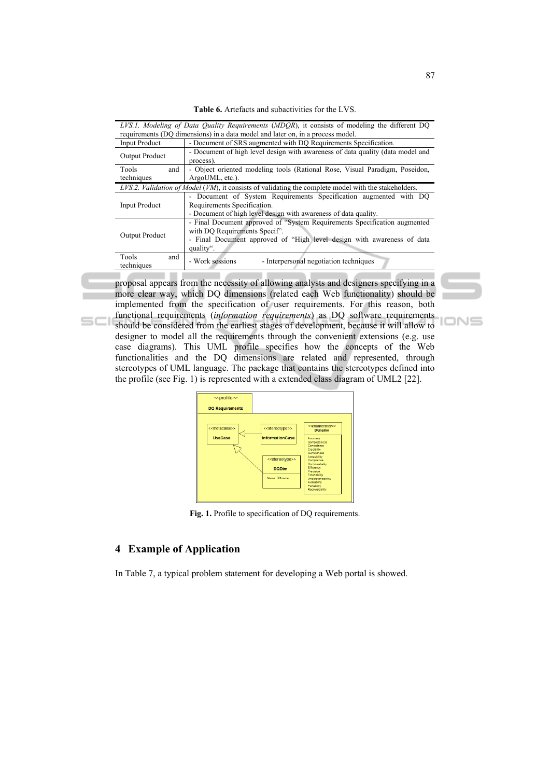| LVS.1. Modeling of Data Quality Requirements (MDQR), it consists of modeling the different DQ |                                                                                                                                                                                                    |  |  |  |  |
|-----------------------------------------------------------------------------------------------|----------------------------------------------------------------------------------------------------------------------------------------------------------------------------------------------------|--|--|--|--|
|                                                                                               | requirements (DO dimensions) in a data model and later on, in a process model.                                                                                                                     |  |  |  |  |
| <b>Input Product</b>                                                                          | - Document of SRS augmented with DO Requirements Specification.                                                                                                                                    |  |  |  |  |
| <b>Output Product</b>                                                                         | - Document of high level design with awareness of data quality (data model and<br>process).                                                                                                        |  |  |  |  |
| Tools<br>and                                                                                  | - Object oriented modeling tools (Rational Rose, Visual Paradigm, Poseidon,                                                                                                                        |  |  |  |  |
| techniques                                                                                    | ArgoUML, etc.).                                                                                                                                                                                    |  |  |  |  |
|                                                                                               | LVS.2. Validation of Model (VM), it consists of validating the complete model with the stakeholders.                                                                                               |  |  |  |  |
| <b>Input Product</b>                                                                          | - Document of System Requirements Specification augmented with DQ<br>Requirements Specification.<br>- Document of high level design with awareness of data quality.                                |  |  |  |  |
| <b>Output Product</b>                                                                         | - Final Document approved of "System Requirements Specification augmented"<br>with DQ Requirements Specif".<br>- Final Document approved of "High level design with awareness of data<br>quality". |  |  |  |  |
| Tools<br>and<br>techniques                                                                    | - Work sessions<br>- Interpersonal negotiation techniques                                                                                                                                          |  |  |  |  |

proposal appears from the necessity of allowing analysts and designers specifying in a more clear way, which DQ dimensions (related each Web functionality) should be implemented from the specification of user requirements. For this reason, both functional requirements (*information requirements*) as DQ software requirements should be considered from the earliest stages of development, because it will allow to designer to model all the requirements through the convenient extensions (e.g. use

case diagrams). This UML profile specifies how the concepts of the Web functionalities and the DQ dimensions are related and represented, through stereotypes of UML language. The package that contains the stereotypes defined into the profile (see Fig. 1) is represented with a extended class diagram of UML2 [22].



Fig. 1. Profile to specification of DQ requirements.

## **4 Example of Application**

 $SCI$ 

In Table 7, a typical problem statement for developing a Web portal is showed.

IONS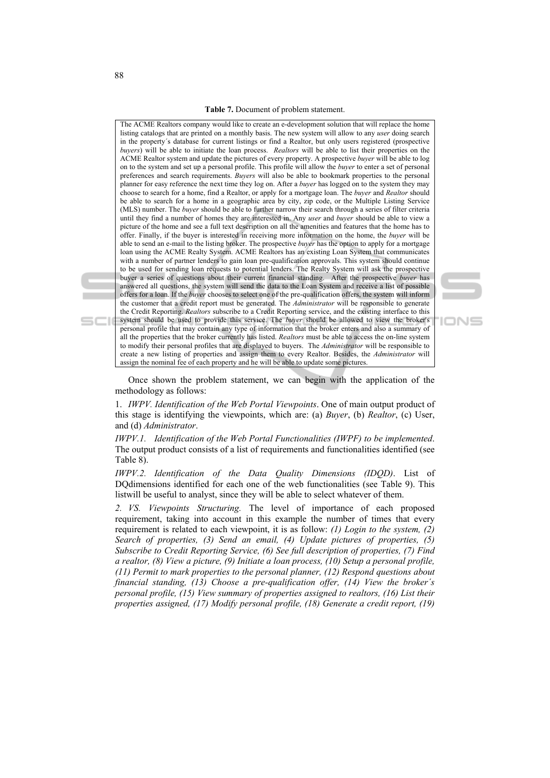The ACME Realtors company would like to create an e-development solution that will replace the home listing catalogs that are printed on a monthly basis. The new system will allow to any *user* doing search in the property´s database for current listings or find a Realtor, but only users registered (prospective *buyers*) will be able to initiate the loan process. *Realtors* will be able to list their properties on the ACME Realtor system and update the pictures of every property. A prospective *buyer* will be able to log on to the system and set up a personal profile. This profile will allow the *buyer* to enter a set of personal preferences and search requirements. *Buyers* will also be able to bookmark properties to the personal planner for easy reference the next time they log on. After a *buyer* has logged on to the system they may choose to search for a home, find a Realtor, or apply for a mortgage loan. The *buyer* and *Realtor* should be able to search for a home in a geographic area by city, zip code, or the Multiple Listing Service (MLS) number. The *buyer* should be able to further narrow their search through a series of filter criteria until they find a number of homes they are interested in. Any *user* and *buyer* should be able to view a picture of the home and see a full text description on all the amenities and features that the home has to offer. Finally, if the buyer is interested in receiving more information on the home, the *buyer* will be able to send an e-mail to the listing broker. The prospective *buyer* has the option to apply for a mortgage loan using the ACME Realty System. ACME Realtors has an existing Loan System that communicates with a number of partner lenders to gain loan pre-qualification approvals. This system should continue to be used for sending loan requests to potential lenders. The Realty System will ask the prospective buyer a series of questions about their current financial standing. After the prospective *buyer* has answered all questions, the system will send the data to the Loan System and receive a list of possible offers for a loan. If the *buyer* chooses to select one of the pre-qualification offers, the system will inform the customer that a credit report must be generated. The *Administrator* will be responsible to generate the Credit Reporting. *Realtors* subscribe to a Credit Reporting service, and the existing interface to this system should be used to provide this service. The *buyer* should be allowed to view the broker's personal profile that may contain any type of information that the broker enters and also a summary of all the properties that the broker currently has listed. *Realtors* must be able to access the on-line system to modify their personal profiles that are displayed to buyers. The *Administrator* will be responsible to create a new listing of properties and assign them to every Realtor. Besides, the *Administrator* will assign the nominal fee of each property and he will be able to update some pictures.



Once shown the problem statement, we can begin with the application of the methodology as follows:

1. *IWPV. Identification of the Web Portal Viewpoints*. One of main output product of this stage is identifying the viewpoints, which are: (a) *Buyer*, (b) *Realtor*, (c) User, and (d) *Administrator*.

*IWPV.1. Identification of the Web Portal Functionalities (IWPF) to be implemented*. The output product consists of a list of requirements and functionalities identified (see Table 8).

*IWPV.2. Identification of the Data Quality Dimensions (IDQD)*. List of DQdimensions identified for each one of the web functionalities (see Table 9). This listwill be useful to analyst, since they will be able to select whatever of them.

*2. VS. Viewpoints Structuring.* The level of importance of each proposed requirement, taking into account in this example the number of times that every requirement is related to each viewpoint, it is as follow: *(1) Login to the system, (2) Search of properties, (3) Send an email, (4) Update pictures of properties, (5) Subscribe to Credit Reporting Service, (6) See full description of properties, (7) Find a realtor, (8) View a picture, (9) Initiate a loan process, (10) Setup a personal profile, (11) Permit to mark properties to the personal planner, (12) Respond questions about financial standing, (13) Choose a pre-qualification offer, (14) View the broker´s personal profile, (15) View summary of properties assigned to realtors, (16) List their properties assigned, (17) Modify personal profile, (18) Generate a credit report, (19)*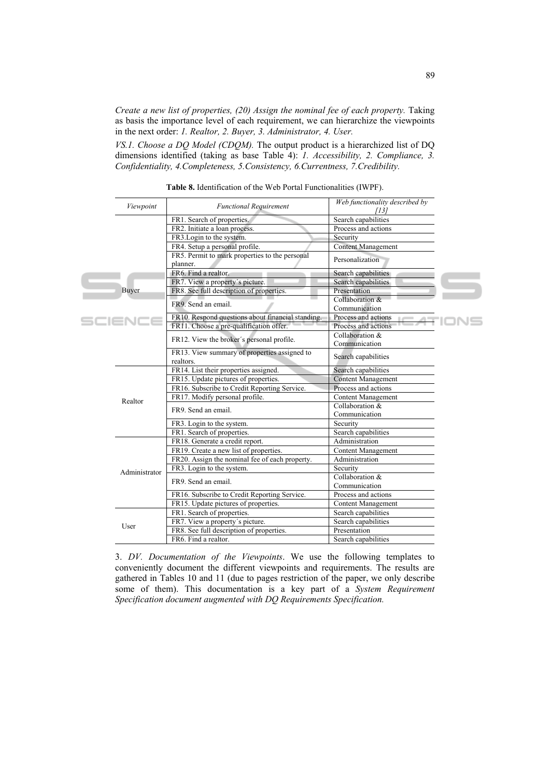*Create a new list of properties, (20) Assign the nominal fee of each property.* Taking as basis the importance level of each requirement, we can hierarchize the viewpoints in the next order: *1. Realtor, 2. Buyer, 3. Administrator, 4. User.* 

*VS.1. Choose a DQ Model (CDQM).* The output product is a hierarchized list of DQ dimensions identified (taking as base Table 4): *1. Accessibility, 2. Compliance, 3. Confidentiality, 4.Completeness, 5.Consistency, 6.Currentness, 7.Credibility.* 

|  | Viewpoint     | <b>Functional Requirement</b>                              | Web functionality described by<br>[13] |  |
|--|---------------|------------------------------------------------------------|----------------------------------------|--|
|  |               | FR1. Search of properties.                                 | Search capabilities                    |  |
|  |               | FR2. Initiate a loan process.                              | Process and actions                    |  |
|  |               | FR3. Login to the system.                                  | Security                               |  |
|  |               | FR4. Setup a personal profile.                             | <b>Content Management</b>              |  |
|  |               | FR5. Permit to mark properties to the personal<br>planner. | Personalization                        |  |
|  |               | FR6. Find a realtor.                                       | Search capabilities                    |  |
|  |               | FR7. View a property's picture.                            | Search capabilities                    |  |
|  | Buver         | FR8. See full description of properties.                   | Presentation                           |  |
|  |               | FR9. Send an email.                                        | Collaboration &<br>Communication       |  |
|  | SCIENCE       | FR10. Respond questions about financial standing.          | Process and actions                    |  |
|  |               | FR11. Choose a pre-qualification offer.                    | Process and actions                    |  |
|  |               | FR12. View the broker's personal profile.                  | Collaboration &<br>Communication       |  |
|  |               | FR13. View summary of properties assigned to<br>realtors.  | Search capabilities                    |  |
|  |               | FR14. List their properties assigned.                      | Search capabilities                    |  |
|  |               | FR15. Update pictures of properties.                       | <b>Content Management</b>              |  |
|  |               | FR16. Subscribe to Credit Reporting Service.               | Process and actions                    |  |
|  | Realtor       | FR17. Modify personal profile.                             | <b>Content Management</b>              |  |
|  |               | FR9. Send an email.                                        | Collaboration &<br>Communication       |  |
|  |               | FR3. Login to the system.                                  | Security                               |  |
|  |               | FR1. Search of properties.                                 | Search capabilities                    |  |
|  |               | FR18. Generate a credit report.                            | Administration                         |  |
|  |               | FR19. Create a new list of properties.                     | Content Management                     |  |
|  |               | FR20. Assign the nominal fee of each property.             | Administration                         |  |
|  | Administrator | FR3. Login to the system.                                  | Security                               |  |
|  |               | FR9. Send an email.                                        | Collaboration &<br>Communication       |  |
|  |               | FR16. Subscribe to Credit Reporting Service.               | Process and actions                    |  |
|  |               | FR15. Update pictures of properties.                       | Content Management                     |  |
|  |               | FR1. Search of properties.                                 | Search capabilities                    |  |
|  |               | FR7. View a property's picture.                            | Search capabilities                    |  |
|  | User          | FR8. See full description of properties.                   | Presentation                           |  |
|  |               |                                                            |                                        |  |

**Table 8.** Identification of the Web Portal Functionalities (IWPF).

3. *DV. Documentation of the Viewpoints*. We use the following templates to conveniently document the different viewpoints and requirements. The results are gathered in Tables 10 and 11 (due to pages restriction of the paper, we only describe some of them). This documentation is a key part of a *System Requirement Specification document augmented with DQ Requirements Specification.*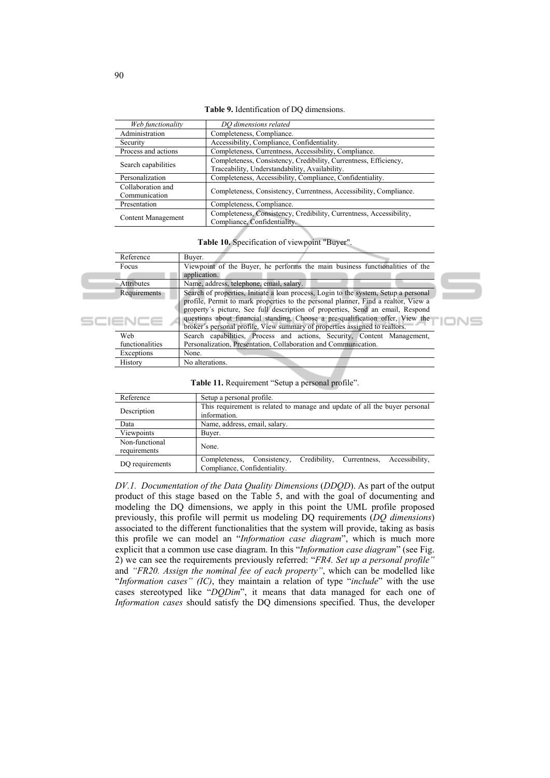**Table 9.** Identification of DQ dimensions.

| Web functionality                  | DO dimensions related                                                                                              |
|------------------------------------|--------------------------------------------------------------------------------------------------------------------|
| Administration                     | Completeness, Compliance.                                                                                          |
| Security                           | Accessibility, Compliance, Confidentiality.                                                                        |
| Process and actions                | Completeness, Currentness, Accessibility, Compliance.                                                              |
| Search capabilities                | Completeness, Consistency, Credibility, Currentness, Efficiency,<br>Traceability, Understandability, Availability. |
| Personalization                    | Completeness, Accessibility, Compliance, Confidentiality.                                                          |
| Collaboration and<br>Communication | Completeness, Consistency, Currentness, Accessibility, Compliance.                                                 |
| Presentation                       | Completeness, Compliance.                                                                                          |
| Content Management                 | Completeness, Consistency, Credibility, Currentness, Accessibility,<br>Compliance, Confidentiality.                |

**Table 10.** Specification of viewpoint "Buyer".

| Reference       | Buyer.                                                                               |
|-----------------|--------------------------------------------------------------------------------------|
| Focus           | Viewpoint of the Buyer, he performs the main business functionalities of the         |
|                 | application.                                                                         |
| Attributes      | Name, address, telephone, email, salary.                                             |
| Requirements    | Search of properties, Initiate a loan process, Login to the system, Setup a personal |
|                 | profile, Permit to mark properties to the personal planner, Find a realtor, View a   |
|                 | property's picture, See full description of properties, Send an email, Respond       |
|                 | questions about financial standing, Choose a pre-qualification offer, View the       |
|                 | broker's personal profile, View summary of properties assigned to realtors.          |
| Web             | Search capabilities, Process and actions, Security, Content Management,              |
| functionalities | Personalization, Presentation, Collaboration and Communication.                      |
| Exceptions      | None.                                                                                |
| <b>History</b>  | No alterations.                                                                      |

**Table 11.** Requirement "Setup a personal profile".

| Reference                      | Setup a personal profile.                                                                                       |  |  |  |  |  |  |
|--------------------------------|-----------------------------------------------------------------------------------------------------------------|--|--|--|--|--|--|
| Description                    | This requirement is related to manage and update of all the buyer personal<br>information.                      |  |  |  |  |  |  |
| Data                           | Name, address, email, salary.                                                                                   |  |  |  |  |  |  |
| Viewpoints                     | Buyer.                                                                                                          |  |  |  |  |  |  |
| Non-functional<br>requirements | None.                                                                                                           |  |  |  |  |  |  |
| DO requirements                | Consistency,<br>Completeness.<br>Credibility,<br>Accessibility.<br>Currentness,<br>Compliance, Confidentiality. |  |  |  |  |  |  |

*DV.1. Documentation of the Data Quality Dimensions* (*DDQD*). As part of the output product of this stage based on the Table 5, and with the goal of documenting and modeling the DQ dimensions, we apply in this point the UML profile proposed previously, this profile will permit us modeling DQ requirements (*DQ dimensions*) associated to the different functionalities that the system will provide, taking as basis this profile we can model an "*Information case diagram*", which is much more explicit that a common use case diagram. In this "*Information case diagram*" (see Fig. 2) we can see the requirements previously referred: "*FR4. Set up a personal profile"* and *"FR20. Assign the nominal fee of each property"*, which can be modelled like "*Information cases" (IC)*, they maintain a relation of type "*include*" with the use cases stereotyped like "*DQDim*", it means that data managed for each one of *Information cases* should satisfy the DQ dimensions specified. Thus, the developer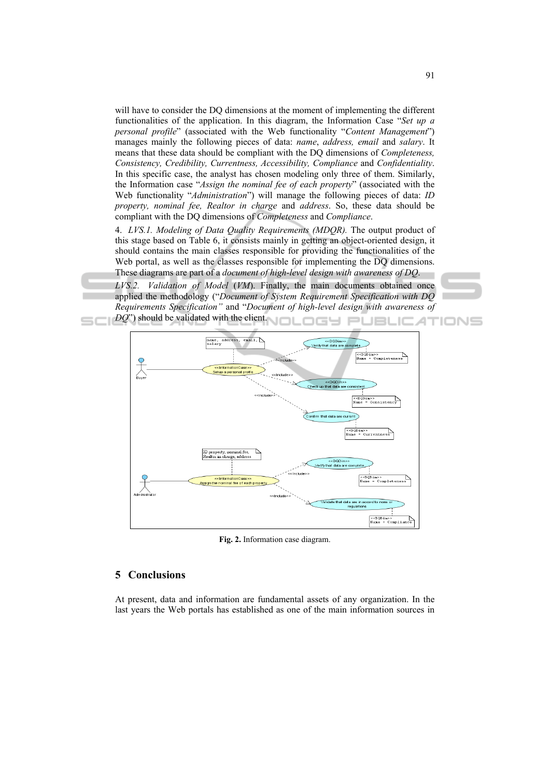will have to consider the DQ dimensions at the moment of implementing the different functionalities of the application. In this diagram, the Information Case "*Set up a personal profile*" (associated with the Web functionality "*Content Management*") manages mainly the following pieces of data: *name*, *address, email* and *salary*. It means that these data should be compliant with the DQ dimensions of *Completeness, Consistency, Credibility, Currentness, Accessibility, Compliance* and *Confidentiality*. In this specific case, the analyst has chosen modeling only three of them. Similarly, the Information case "*Assign the nominal fee of each property*" (associated with the Web functionality "*Administration*") will manage the following pieces of data: *ID property, nominal fee, Realtor in charge* and *address*. So, these data should be compliant with the DQ dimensions of *Completeness* and *Compliance*.

4. *LVS.1. Modeling of Data Quality Requirements (MDQR).* The output product of this stage based on Table 6, it consists mainly in getting an object-oriented design, it should contains the main classes responsible for providing the functionalities of the Web portal, as well as the classes responsible for implementing the DQ dimensions. These diagrams are part of a *document of high-level design with awareness of DQ*.

*LVS.2. Validation of Model* (*VM*). Finally, the main documents obtained once applied the methodology ("*Document of System Requirement Specification with DQ Requirements Specification"* and "*Document of high-level design with awareness of DQ*") should be validated with the client. Π.



**Fig. 2.** Information case diagram.

### **5 Conclusions**

At present, data and information are fundamental assets of any organization. In the last years the Web portals has established as one of the main information sources in

IONS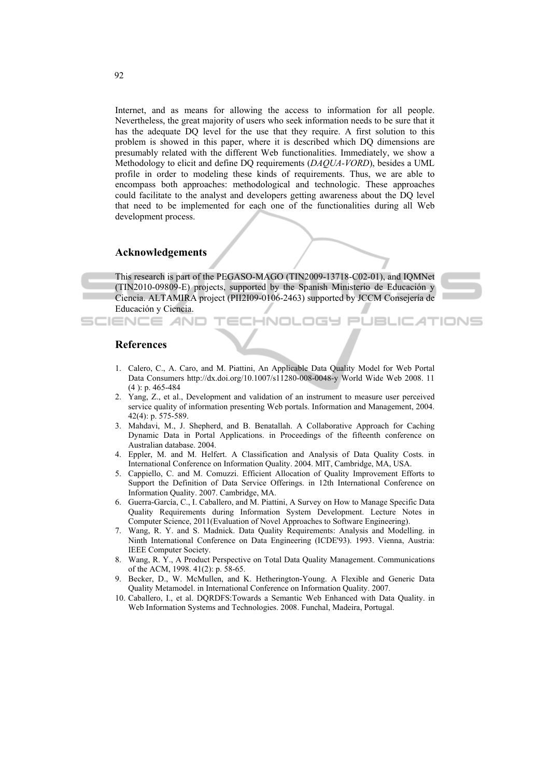Internet, and as means for allowing the access to information for all people. Nevertheless, the great majority of users who seek information needs to be sure that it has the adequate DQ level for the use that they require. A first solution to this problem is showed in this paper, where it is described which DQ dimensions are presumably related with the different Web functionalities. Immediately, we show a Methodology to elicit and define DQ requirements (*DAQUA-VORD*), besides a UML profile in order to modeling these kinds of requirements. Thus, we are able to encompass both approaches: methodological and technologic. These approaches could facilitate to the analyst and developers getting awareness about the DQ level that need to be implemented for each one of the functionalities during all Web development process.

#### **Acknowledgements**

This research is part of the PEGASO-MAGO (TIN2009-13718-C02-01), and IQMNet (TIN2010-09809-E) projects, supported by the Spanish Ministerio de Educación y Ciencia. ALTAMIRA project (PII2I09-0106-2463) supported by JCCM Consejería de Educación y Ciencia.

INIOL

ות התו



**JBLICATIONS** 

### **References**

SCIENCE *A*NI

- 1. Calero, C., A. Caro, and M. Piattini, An Applicable Data Quality Model for Web Portal Data Consumers http://dx.doi.org/10.1007/s11280-008-0048-y World Wide Web 2008. 11 (4 ): p. 465-484
- 2. Yang, Z., et al., Development and validation of an instrument to measure user perceived service quality of information presenting Web portals. Information and Management, 2004. 42(4): p. 575-589.
- 3. Mahdavi, M., J. Shepherd, and B. Benatallah. A Collaborative Approach for Caching Dynamic Data in Portal Applications. in Proceedings of the fifteenth conference on Australian database. 2004.
- 4. Eppler, M. and M. Helfert. A Classification and Analysis of Data Quality Costs. in International Conference on Information Quality. 2004. MIT, Cambridge, MA, USA.
- 5. Cappiello, C. and M. Comuzzi. Efficient Allocation of Quality Improvement Efforts to Support the Definition of Data Service Offerings. in 12th International Conference on Information Quality. 2007. Cambridge, MA.
- 6. Guerra-García, C., I. Caballero, and M. Piattini, A Survey on How to Manage Specific Data Quality Requirements during Information System Development. Lecture Notes in Computer Science, 2011(Evaluation of Novel Approaches to Software Engineering).
- 7. Wang, R. Y. and S. Madnick. Data Quality Requirements: Analysis and Modelling. in Ninth International Conference on Data Engineering (ICDE'93). 1993. Vienna, Austria: IEEE Computer Society.
- 8. Wang, R. Y., A Product Perspective on Total Data Quality Management. Communications of the ACM, 1998. 41(2): p. 58-65.
- 9. Becker, D., W. McMullen, and K. Hetherington-Young. A Flexible and Generic Data Quality Metamodel. in International Conference on Information Quality. 2007.
- 10. Caballero, I., et al. DQRDFS:Towards a Semantic Web Enhanced with Data Quality. in Web Information Systems and Technologies. 2008. Funchal, Madeira, Portugal.